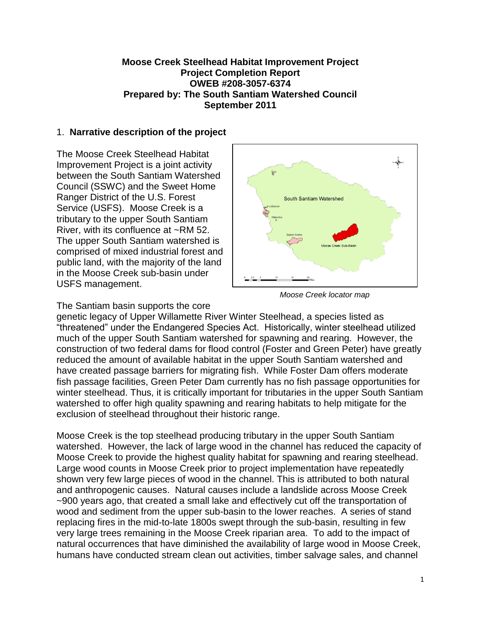## **Moose Creek Steelhead Habitat Improvement Project Project Completion Report OWEB #208-3057-6374 Prepared by: The South Santiam Watershed Council September 2011**

## 1. **Narrative description of the project**

The Moose Creek Steelhead Habitat Improvement Project is a joint activity between the South Santiam Watershed Council (SSWC) and the Sweet Home Ranger District of the U.S. Forest Service (USFS). Moose Creek is a tributary to the upper South Santiam River, with its confluence at ~RM 52. The upper South Santiam watershed is comprised of mixed industrial forest and public land, with the majority of the land in the Moose Creek sub-basin under USFS management.



*Moose Creek locator map*

The Santiam basin supports the core

genetic legacy of Upper Willamette River Winter Steelhead, a species listed as "threatened" under the Endangered Species Act. Historically, winter steelhead utilized much of the upper South Santiam watershed for spawning and rearing. However, the construction of two federal dams for flood control (Foster and Green Peter) have greatly reduced the amount of available habitat in the upper South Santiam watershed and have created passage barriers for migrating fish. While Foster Dam offers moderate fish passage facilities, Green Peter Dam currently has no fish passage opportunities for winter steelhead. Thus, it is critically important for tributaries in the upper South Santiam watershed to offer high quality spawning and rearing habitats to help mitigate for the exclusion of steelhead throughout their historic range.

Moose Creek is the top steelhead producing tributary in the upper South Santiam watershed. However, the lack of large wood in the channel has reduced the capacity of Moose Creek to provide the highest quality habitat for spawning and rearing steelhead. Large wood counts in Moose Creek prior to project implementation have repeatedly shown very few large pieces of wood in the channel. This is attributed to both natural and anthropogenic causes. Natural causes include a landslide across Moose Creek ~900 years ago, that created a small lake and effectively cut off the transportation of wood and sediment from the upper sub-basin to the lower reaches. A series of stand replacing fires in the mid-to-late 1800s swept through the sub-basin, resulting in few very large trees remaining in the Moose Creek riparian area. To add to the impact of natural occurrences that have diminished the availability of large wood in Moose Creek, humans have conducted stream clean out activities, timber salvage sales, and channel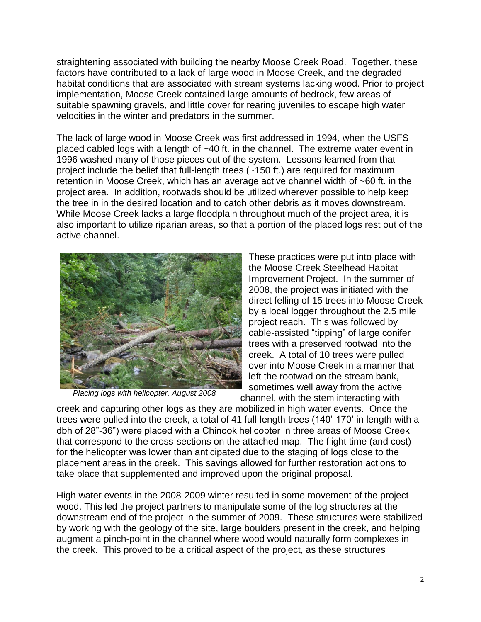straightening associated with building the nearby Moose Creek Road. Together, these factors have contributed to a lack of large wood in Moose Creek, and the degraded habitat conditions that are associated with stream systems lacking wood. Prior to project implementation, Moose Creek contained large amounts of bedrock, few areas of suitable spawning gravels, and little cover for rearing juveniles to escape high water velocities in the winter and predators in the summer.

The lack of large wood in Moose Creek was first addressed in 1994, when the USFS placed cabled logs with a length of ~40 ft. in the channel. The extreme water event in 1996 washed many of those pieces out of the system. Lessons learned from that project include the belief that full-length trees (~150 ft.) are required for maximum retention in Moose Creek, which has an average active channel width of ~60 ft. in the project area. In addition, rootwads should be utilized wherever possible to help keep the tree in in the desired location and to catch other debris as it moves downstream. While Moose Creek lacks a large floodplain throughout much of the project area, it is also important to utilize riparian areas, so that a portion of the placed logs rest out of the active channel.



*Placing logs with helicopter, August 2008*

These practices were put into place with the Moose Creek Steelhead Habitat Improvement Project. In the summer of 2008, the project was initiated with the direct felling of 15 trees into Moose Creek by a local logger throughout the 2.5 mile project reach. This was followed by cable-assisted "tipping" of large conifer trees with a preserved rootwad into the creek. A total of 10 trees were pulled over into Moose Creek in a manner that left the rootwad on the stream bank, sometimes well away from the active channel, with the stem interacting with

creek and capturing other logs as they are mobilized in high water events. Once the trees were pulled into the creek, a total of 41 full-length trees (140'-170' in length with a dbh of 28"-36") were placed with a Chinook helicopter in three areas of Moose Creek that correspond to the cross-sections on the attached map. The flight time (and cost) for the helicopter was lower than anticipated due to the staging of logs close to the placement areas in the creek. This savings allowed for further restoration actions to take place that supplemented and improved upon the original proposal.

High water events in the 2008-2009 winter resulted in some movement of the project wood. This led the project partners to manipulate some of the log structures at the downstream end of the project in the summer of 2009. These structures were stabilized by working with the geology of the site, large boulders present in the creek, and helping augment a pinch-point in the channel where wood would naturally form complexes in the creek. This proved to be a critical aspect of the project, as these structures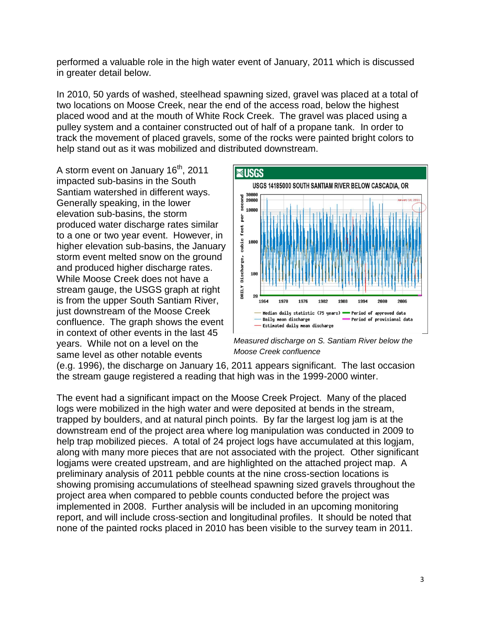performed a valuable role in the high water event of January, 2011 which is discussed in greater detail below.

In 2010, 50 yards of washed, steelhead spawning sized, gravel was placed at a total of two locations on Moose Creek, near the end of the access road, below the highest placed wood and at the mouth of White Rock Creek. The gravel was placed using a pulley system and a container constructed out of half of a propane tank. In order to track the movement of placed gravels, some of the rocks were painted bright colors to help stand out as it was mobilized and distributed downstream.

A storm event on January 16<sup>th</sup>, 2011 impacted sub-basins in the South Santiam watershed in different ways. Generally speaking, in the lower elevation sub-basins, the storm produced water discharge rates similar to a one or two year event. However, in higher elevation sub-basins, the January storm event melted snow on the ground and produced higher discharge rates. While Moose Creek does not have a stream gauge, the USGS graph at right is from the upper South Santiam River, just downstream of the Moose Creek confluence. The graph shows the event in context of other events in the last 45 years. While not on a level on the same level as other notable events



*Measured discharge on S. Santiam River below the Moose Creek confluence*

(e.g. 1996), the discharge on January 16, 2011 appears significant. The last occasion the stream gauge registered a reading that high was in the 1999-2000 winter.

The event had a significant impact on the Moose Creek Project. Many of the placed logs were mobilized in the high water and were deposited at bends in the stream, trapped by boulders, and at natural pinch points. By far the largest log jam is at the downstream end of the project area where log manipulation was conducted in 2009 to help trap mobilized pieces. A total of 24 project logs have accumulated at this logiam, along with many more pieces that are not associated with the project. Other significant logjams were created upstream, and are highlighted on the attached project map. A preliminary analysis of 2011 pebble counts at the nine cross-section locations is showing promising accumulations of steelhead spawning sized gravels throughout the project area when compared to pebble counts conducted before the project was implemented in 2008. Further analysis will be included in an upcoming monitoring report, and will include cross-section and longitudinal profiles. It should be noted that none of the painted rocks placed in 2010 has been visible to the survey team in 2011.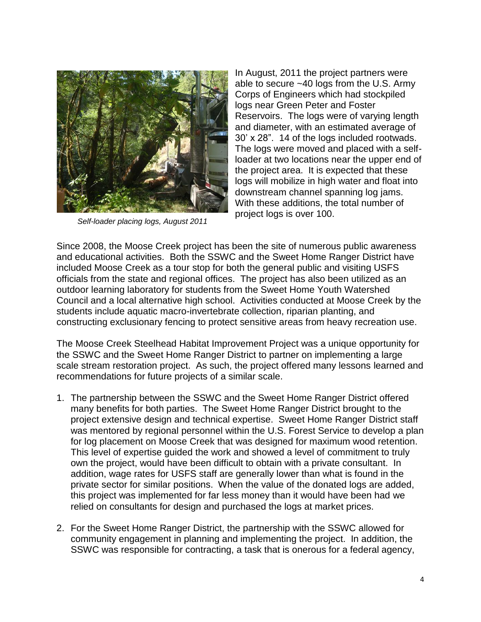

*Self-loader placing logs, August 2011*

In August, 2011 the project partners were able to secure ~40 logs from the U.S. Army Corps of Engineers which had stockpiled logs near Green Peter and Foster Reservoirs. The logs were of varying length and diameter, with an estimated average of 30' x 28". 14 of the logs included rootwads. The logs were moved and placed with a selfloader at two locations near the upper end of the project area. It is expected that these logs will mobilize in high water and float into downstream channel spanning log jams. With these additions, the total number of project logs is over 100.

Since 2008, the Moose Creek project has been the site of numerous public awareness and educational activities. Both the SSWC and the Sweet Home Ranger District have included Moose Creek as a tour stop for both the general public and visiting USFS officials from the state and regional offices. The project has also been utilized as an outdoor learning laboratory for students from the Sweet Home Youth Watershed Council and a local alternative high school. Activities conducted at Moose Creek by the students include aquatic macro-invertebrate collection, riparian planting, and constructing exclusionary fencing to protect sensitive areas from heavy recreation use.

The Moose Creek Steelhead Habitat Improvement Project was a unique opportunity for the SSWC and the Sweet Home Ranger District to partner on implementing a large scale stream restoration project. As such, the project offered many lessons learned and recommendations for future projects of a similar scale.

- 1. The partnership between the SSWC and the Sweet Home Ranger District offered many benefits for both parties. The Sweet Home Ranger District brought to the project extensive design and technical expertise. Sweet Home Ranger District staff was mentored by regional personnel within the U.S. Forest Service to develop a plan for log placement on Moose Creek that was designed for maximum wood retention. This level of expertise guided the work and showed a level of commitment to truly own the project, would have been difficult to obtain with a private consultant. In addition, wage rates for USFS staff are generally lower than what is found in the private sector for similar positions. When the value of the donated logs are added, this project was implemented for far less money than it would have been had we relied on consultants for design and purchased the logs at market prices.
- 2. For the Sweet Home Ranger District, the partnership with the SSWC allowed for community engagement in planning and implementing the project. In addition, the SSWC was responsible for contracting, a task that is onerous for a federal agency,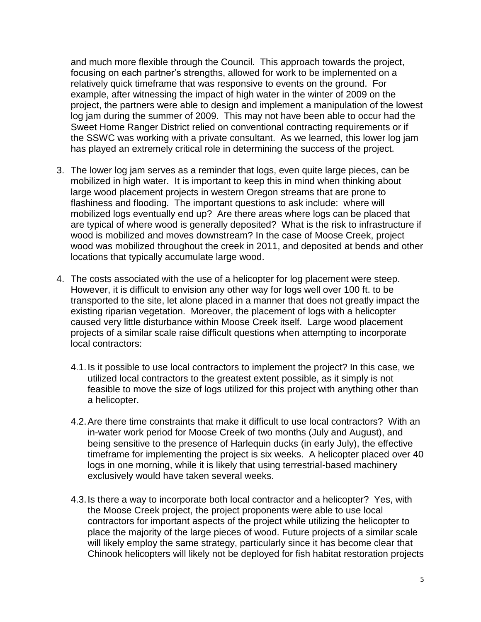and much more flexible through the Council. This approach towards the project, focusing on each partner's strengths, allowed for work to be implemented on a relatively quick timeframe that was responsive to events on the ground. For example, after witnessing the impact of high water in the winter of 2009 on the project, the partners were able to design and implement a manipulation of the lowest log jam during the summer of 2009. This may not have been able to occur had the Sweet Home Ranger District relied on conventional contracting requirements or if the SSWC was working with a private consultant. As we learned, this lower log jam has played an extremely critical role in determining the success of the project.

- 3. The lower log jam serves as a reminder that logs, even quite large pieces, can be mobilized in high water. It is important to keep this in mind when thinking about large wood placement projects in western Oregon streams that are prone to flashiness and flooding. The important questions to ask include: where will mobilized logs eventually end up? Are there areas where logs can be placed that are typical of where wood is generally deposited? What is the risk to infrastructure if wood is mobilized and moves downstream? In the case of Moose Creek, project wood was mobilized throughout the creek in 2011, and deposited at bends and other locations that typically accumulate large wood.
- 4. The costs associated with the use of a helicopter for log placement were steep. However, it is difficult to envision any other way for logs well over 100 ft. to be transported to the site, let alone placed in a manner that does not greatly impact the existing riparian vegetation. Moreover, the placement of logs with a helicopter caused very little disturbance within Moose Creek itself. Large wood placement projects of a similar scale raise difficult questions when attempting to incorporate local contractors:
	- 4.1.Is it possible to use local contractors to implement the project? In this case, we utilized local contractors to the greatest extent possible, as it simply is not feasible to move the size of logs utilized for this project with anything other than a helicopter.
	- 4.2.Are there time constraints that make it difficult to use local contractors? With an in-water work period for Moose Creek of two months (July and August), and being sensitive to the presence of Harlequin ducks (in early July), the effective timeframe for implementing the project is six weeks. A helicopter placed over 40 logs in one morning, while it is likely that using terrestrial-based machinery exclusively would have taken several weeks.
	- 4.3.Is there a way to incorporate both local contractor and a helicopter? Yes, with the Moose Creek project, the project proponents were able to use local contractors for important aspects of the project while utilizing the helicopter to place the majority of the large pieces of wood. Future projects of a similar scale will likely employ the same strategy, particularly since it has become clear that Chinook helicopters will likely not be deployed for fish habitat restoration projects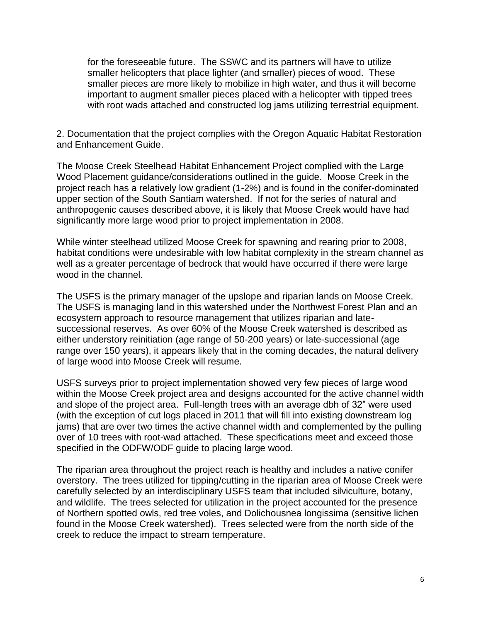for the foreseeable future. The SSWC and its partners will have to utilize smaller helicopters that place lighter (and smaller) pieces of wood. These smaller pieces are more likely to mobilize in high water, and thus it will become important to augment smaller pieces placed with a helicopter with tipped trees with root wads attached and constructed log jams utilizing terrestrial equipment.

2. Documentation that the project complies with the Oregon Aquatic Habitat Restoration and Enhancement Guide.

The Moose Creek Steelhead Habitat Enhancement Project complied with the Large Wood Placement guidance/considerations outlined in the guide. Moose Creek in the project reach has a relatively low gradient (1-2%) and is found in the conifer-dominated upper section of the South Santiam watershed. If not for the series of natural and anthropogenic causes described above, it is likely that Moose Creek would have had significantly more large wood prior to project implementation in 2008.

While winter steelhead utilized Moose Creek for spawning and rearing prior to 2008, habitat conditions were undesirable with low habitat complexity in the stream channel as well as a greater percentage of bedrock that would have occurred if there were large wood in the channel.

The USFS is the primary manager of the upslope and riparian lands on Moose Creek. The USFS is managing land in this watershed under the Northwest Forest Plan and an ecosystem approach to resource management that utilizes riparian and latesuccessional reserves. As over 60% of the Moose Creek watershed is described as either understory reinitiation (age range of 50-200 years) or late-successional (age range over 150 years), it appears likely that in the coming decades, the natural delivery of large wood into Moose Creek will resume.

USFS surveys prior to project implementation showed very few pieces of large wood within the Moose Creek project area and designs accounted for the active channel width and slope of the project area. Full-length trees with an average dbh of 32" were used (with the exception of cut logs placed in 2011 that will fill into existing downstream log jams) that are over two times the active channel width and complemented by the pulling over of 10 trees with root-wad attached. These specifications meet and exceed those specified in the ODFW/ODF guide to placing large wood.

The riparian area throughout the project reach is healthy and includes a native conifer overstory. The trees utilized for tipping/cutting in the riparian area of Moose Creek were carefully selected by an interdisciplinary USFS team that included silviculture, botany, and wildlife. The trees selected for utilization in the project accounted for the presence of Northern spotted owls, red tree voles, and Dolichousnea longissima (sensitive lichen found in the Moose Creek watershed). Trees selected were from the north side of the creek to reduce the impact to stream temperature.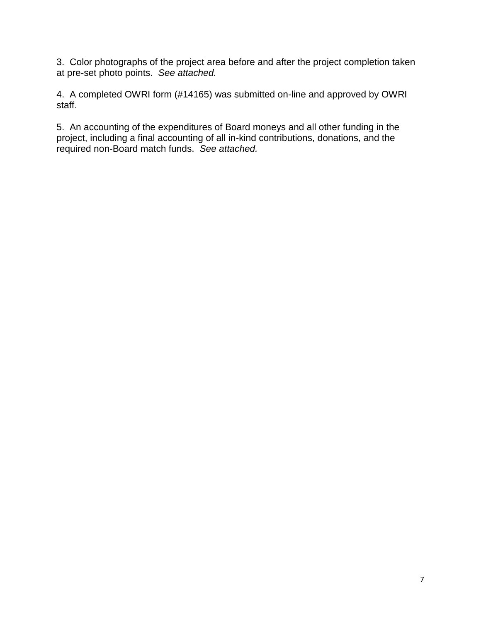3. Color photographs of the project area before and after the project completion taken at pre-set photo points. *See attached.*

4. A completed OWRI form (#14165) was submitted on-line and approved by OWRI staff.

5. An accounting of the expenditures of Board moneys and all other funding in the project, including a final accounting of all in-kind contributions, donations, and the required non-Board match funds. *See attached.*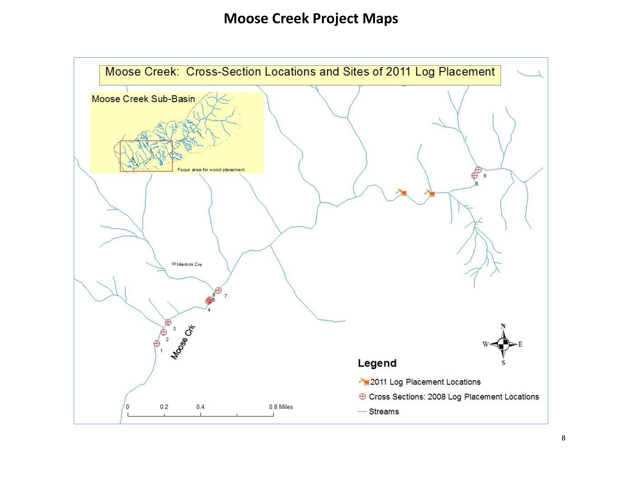## **Moose Creek Project Maps**